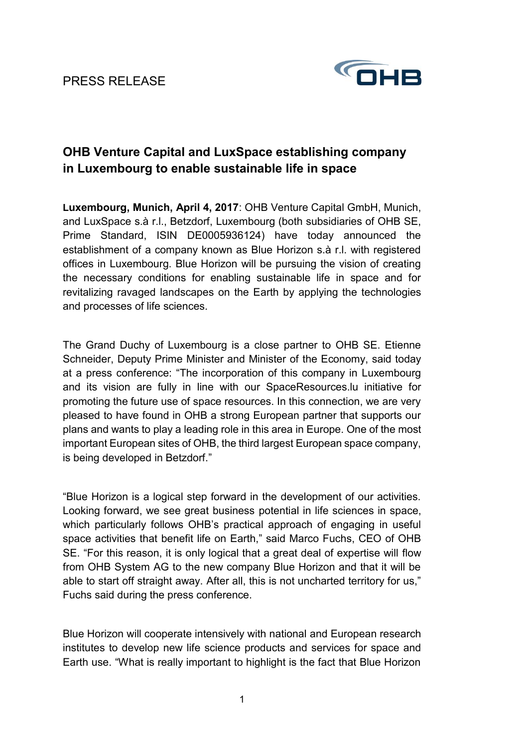PRESS RELEASE



# **OHB Venture Capital and LuxSpace establishing company in Luxembourg to enable sustainable life in space**

**Luxembourg, Munich, April 4, 2017**: OHB Venture Capital GmbH, Munich, and LuxSpace s.à r.l., Betzdorf, Luxembourg (both subsidiaries of OHB SE, Prime Standard, ISIN DE0005936124) have today announced the establishment of a company known as Blue Horizon s.à r.l. with registered offices in Luxembourg. Blue Horizon will be pursuing the vision of creating the necessary conditions for enabling sustainable life in space and for revitalizing ravaged landscapes on the Earth by applying the technologies and processes of life sciences.

The Grand Duchy of Luxembourg is a close partner to OHB SE. Etienne Schneider, Deputy Prime Minister and Minister of the Economy, said today at a press conference: "The incorporation of this company in Luxembourg and its vision are fully in line with our SpaceResources.lu initiative for promoting the future use of space resources. In this connection, we are very pleased to have found in OHB a strong European partner that supports our plans and wants to play a leading role in this area in Europe. One of the most important European sites of OHB, the third largest European space company, is being developed in Betzdorf."

"Blue Horizon is a logical step forward in the development of our activities. Looking forward, we see great business potential in life sciences in space, which particularly follows OHB's practical approach of engaging in useful space activities that benefit life on Earth," said Marco Fuchs, CEO of OHB SE. "For this reason, it is only logical that a great deal of expertise will flow from OHB System AG to the new company Blue Horizon and that it will be able to start off straight away. After all, this is not uncharted territory for us," Fuchs said during the press conference.

Blue Horizon will cooperate intensively with national and European research institutes to develop new life science products and services for space and Earth use. "What is really important to highlight is the fact that Blue Horizon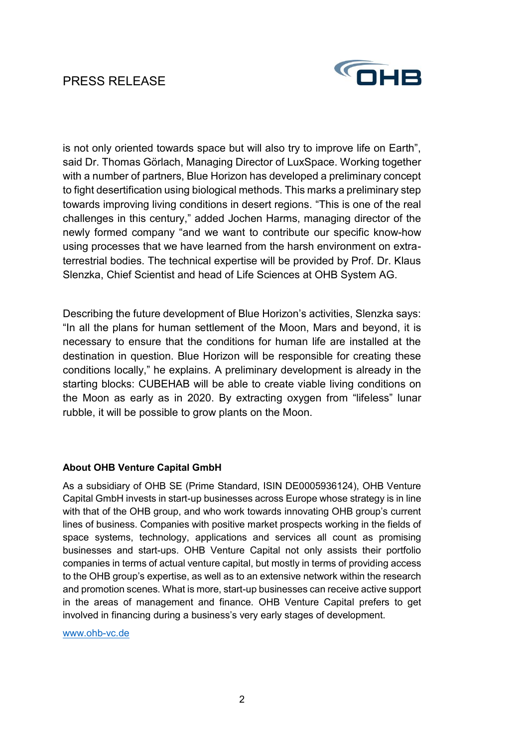## PRESS RELEASE



is not only oriented towards space but will also try to improve life on Earth", said Dr. Thomas Görlach, Managing Director of LuxSpace. Working together with a number of partners, Blue Horizon has developed a preliminary concept to fight desertification using biological methods. This marks a preliminary step towards improving living conditions in desert regions. "This is one of the real challenges in this century," added Jochen Harms, managing director of the newly formed company "and we want to contribute our specific know-how using processes that we have learned from the harsh environment on extraterrestrial bodies. The technical expertise will be provided by Prof. Dr. Klaus Slenzka, Chief Scientist and head of Life Sciences at OHB System AG.

Describing the future development of Blue Horizon's activities, Slenzka says: "In all the plans for human settlement of the Moon, Mars and beyond, it is necessary to ensure that the conditions for human life are installed at the destination in question. Blue Horizon will be responsible for creating these conditions locally," he explains. A preliminary development is already in the starting blocks: CUBEHAB will be able to create viable living conditions on the Moon as early as in 2020. By extracting oxygen from "lifeless" lunar rubble, it will be possible to grow plants on the Moon.

### **About OHB Venture Capital GmbH**

As a subsidiary of OHB SE (Prime Standard, ISIN DE0005936124), OHB Venture Capital GmbH invests in start-up businesses across Europe whose strategy is in line with that of the OHB group, and who work towards innovating OHB group's current lines of business. Companies with positive market prospects working in the fields of space systems, technology, applications and services all count as promising businesses and start-ups. OHB Venture Capital not only assists their portfolio companies in terms of actual venture capital, but mostly in terms of providing access to the OHB group's expertise, as well as to an extensive network within the research and promotion scenes. What is more, start-up businesses can receive active support in the areas of management and finance. OHB Venture Capital prefers to get involved in financing during a business's very early stages of development.

www.ohb-vc.de